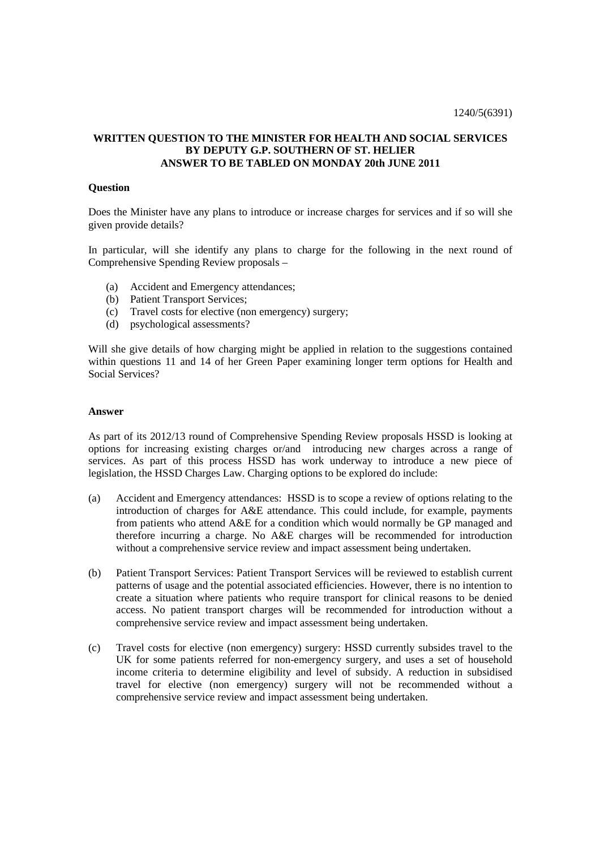## **WRITTEN QUESTION TO THE MINISTER FOR HEALTH AND SOCIAL SERVICES BY DEPUTY G.P. SOUTHERN OF ST. HELIER ANSWER TO BE TABLED ON MONDAY 20th JUNE 2011**

## **Question**

Does the Minister have any plans to introduce or increase charges for services and if so will she given provide details?

In particular, will she identify any plans to charge for the following in the next round of Comprehensive Spending Review proposals –

- (a) Accident and Emergency attendances;
- (b) Patient Transport Services;
- (c) Travel costs for elective (non emergency) surgery;
- (d) psychological assessments?

Will she give details of how charging might be applied in relation to the suggestions contained within questions 11 and 14 of her Green Paper examining longer term options for Health and Social Services?

## **Answer**

As part of its 2012/13 round of Comprehensive Spending Review proposals HSSD is looking at options for increasing existing charges or/and introducing new charges across a range of services. As part of this process HSSD has work underway to introduce a new piece of legislation, the HSSD Charges Law. Charging options to be explored do include:

- (a) Accident and Emergency attendances: HSSD is to scope a review of options relating to the introduction of charges for A&E attendance. This could include, for example, payments from patients who attend A&E for a condition which would normally be GP managed and therefore incurring a charge. No A&E charges will be recommended for introduction without a comprehensive service review and impact assessment being undertaken.
- (b) Patient Transport Services: Patient Transport Services will be reviewed to establish current patterns of usage and the potential associated efficiencies. However, there is no intention to create a situation where patients who require transport for clinical reasons to be denied access. No patient transport charges will be recommended for introduction without a comprehensive service review and impact assessment being undertaken.
- (c) Travel costs for elective (non emergency) surgery: HSSD currently subsides travel to the UK for some patients referred for non-emergency surgery, and uses a set of household income criteria to determine eligibility and level of subsidy. A reduction in subsidised travel for elective (non emergency) surgery will not be recommended without a comprehensive service review and impact assessment being undertaken.